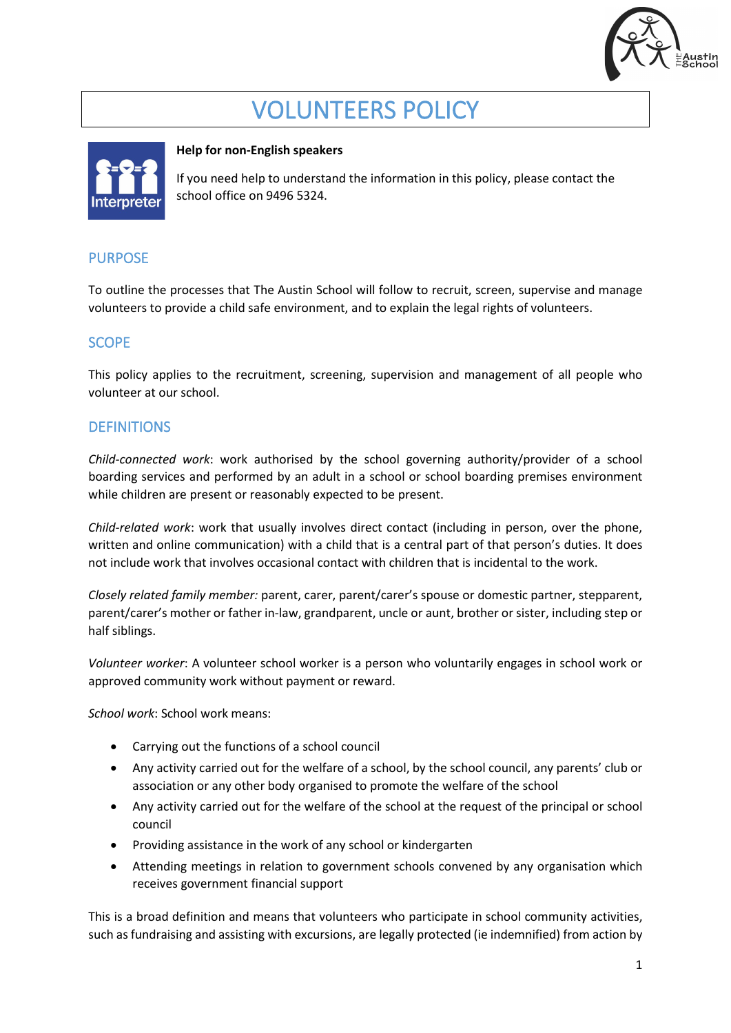

# VOLUNTEERS POLICY



## **Help for non-English speakers**

If you need help to understand the information in this policy, please contact the school office on 9496 5324.

# PURPOSE

To outline the processes that The Austin School will follow to recruit, screen, supervise and manage volunteers to provide a child safe environment, and to explain the legal rights of volunteers.

# SCOPE

This policy applies to the recruitment, screening, supervision and management of all people who volunteer at our school.

## **DEFINITIONS**

*Child-connected work*: work authorised by the school governing authority/provider of a school boarding services and performed by an adult in a school or school boarding premises environment while children are present or reasonably expected to be present.

*Child-related work*: work that usually involves direct contact (including in person, over the phone, written and online communication) with a child that is a central part of that person's duties. It does not include work that involves occasional contact with children that is incidental to the work.

*Closely related family member:* parent, carer, parent/carer's spouse or domestic partner, stepparent, parent/carer's mother or father in-law, grandparent, uncle or aunt, brother or sister, including step or half siblings.

*Volunteer worker*: A volunteer school worker is a person who voluntarily engages in school work or approved community work without payment or reward.

*School work*: School work means:

- Carrying out the functions of a school council
- Any activity carried out for the welfare of a school, by the school council, any parents' club or association or any other body organised to promote the welfare of the school
- Any activity carried out for the welfare of the school at the request of the principal or school council
- Providing assistance in the work of any school or kindergarten
- Attending meetings in relation to government schools convened by any organisation which receives government financial support

This is a broad definition and means that volunteers who participate in school community activities, such as fundraising and assisting with excursions, are legally protected (ie indemnified) from action by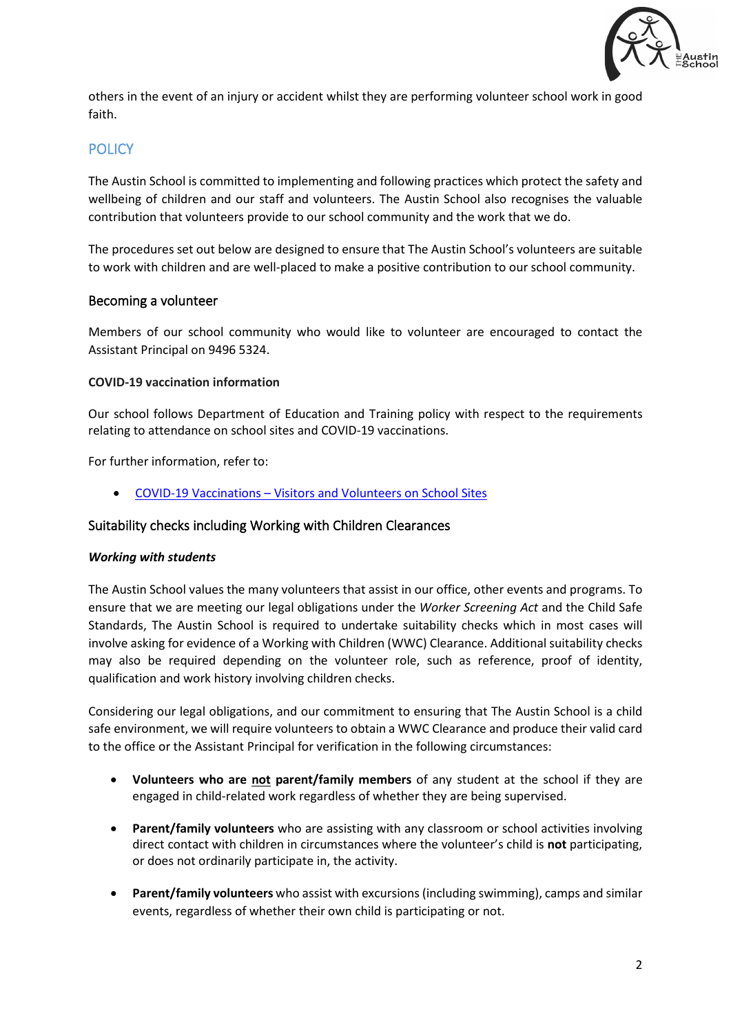

others in the event of an injury or accident whilst they are performing volunteer school work in good faith.

# **POLICY**

The Austin School is committed to implementing and following practices which protect the safety and wellbeing of children and our staff and volunteers. The Austin School also recognises the valuable contribution that volunteers provide to our school community and the work that we do.

The procedures set out below are designed to ensure that The Austin School's volunteers are suitable to work with children and are well-placed to make a positive contribution to our school community.

#### Becoming a volunteer

Members of our school community who would like to volunteer are encouraged to contact the Assistant Principal on 9496 5324.

#### **COVID-19 vaccination information**

Our school follows Department of Education and Training policy with respect to the requirements relating to attendance on school sites and COVID-19 vaccinations.

For further information, refer to:

• COVID-19 Vaccinations – [Visitors and Volunteers on School Sites](https://www2.education.vic.gov.au/pal/covid-19-vaccinations-visitors-volunteers/policy)

## Suitability checks including Working with Children Clearances

#### *Working with students*

The Austin School values the many volunteers that assist in our office, other events and programs. To ensure that we are meeting our legal obligations under the *Worker Screening Act* and the Child Safe Standards, The Austin School is required to undertake suitability checks which in most cases will involve asking for evidence of a Working with Children (WWC) Clearance. Additional suitability checks may also be required depending on the volunteer role, such as reference, proof of identity, qualification and work history involving children checks.

Considering our legal obligations, and our commitment to ensuring that The Austin School is a child safe environment, we will require volunteers to obtain a WWC Clearance and produce their valid card to the office or the Assistant Principal for verification in the following circumstances:

- **Volunteers who are not parent/family members** of any student at the school if they are engaged in child-related work regardless of whether they are being supervised.
- **Parent/family volunteers** who are assisting with any classroom or school activities involving direct contact with children in circumstances where the volunteer's child is **not** participating, or does not ordinarily participate in, the activity.
- **Parent/family volunteers** who assist with excursions (including swimming), camps and similar events, regardless of whether their own child is participating or not.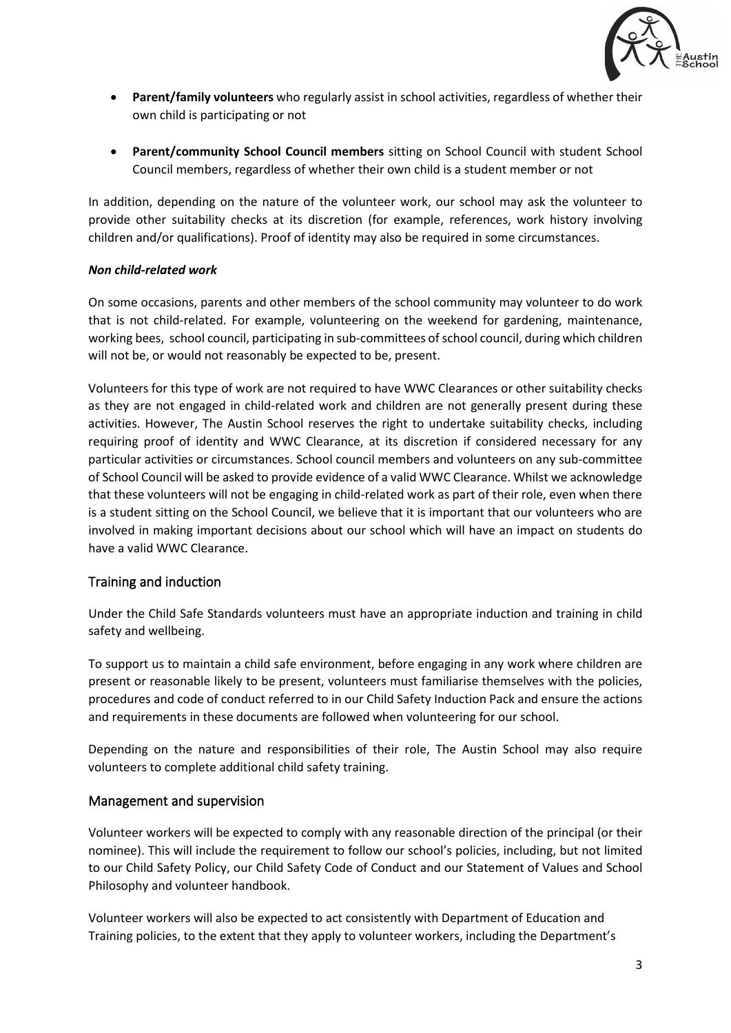

- **Parent/family volunteers** who regularly assist in school activities, regardless of whether their own child is participating or not
- **Parent/community School Council members** sitting on School Council with student School Council members, regardless of whether their own child is a student member or not

In addition, depending on the nature of the volunteer work, our school may ask the volunteer to provide other suitability checks at its discretion (for example, references, work history involving children and/or qualifications). Proof of identity may also be required in some circumstances.

#### *Non child-related work*

On some occasions, parents and other members of the school community may volunteer to do work that is not child-related. For example, volunteering on the weekend for gardening, maintenance, working bees, school council, participating in sub-committees of school council, during which children will not be, or would not reasonably be expected to be, present.

Volunteers for this type of work are not required to have WWC Clearances or other suitability checks as they are not engaged in child-related work and children are not generally present during these activities. However, The Austin School reserves the right to undertake suitability checks, including requiring proof of identity and WWC Clearance, at its discretion if considered necessary for any particular activities or circumstances. School council members and volunteers on any sub-committee of School Council will be asked to provide evidence of a valid WWC Clearance. Whilst we acknowledge that these volunteers will not be engaging in child-related work as part of their role, even when there is a student sitting on the School Council, we believe that it is important that our volunteers who are involved in making important decisions about our school which will have an impact on students do have a valid WWC Clearance.

## Training and induction

Under the Child Safe Standards volunteers must have an appropriate induction and training in child safety and wellbeing.

To support us to maintain a child safe environment, before engaging in any work where children are present or reasonable likely to be present, volunteers must familiarise themselves with the policies, procedures and code of conduct referred to in our Child Safety Induction Pack and ensure the actions and requirements in these documents are followed when volunteering for our school.

Depending on the nature and responsibilities of their role, The Austin School may also require volunteers to complete additional child safety training.

## Management and supervision

Volunteer workers will be expected to comply with any reasonable direction of the principal (or their nominee). This will include the requirement to follow our school's policies, including, but not limited to our Child Safety Policy, our Child Safety Code of Conduct and our Statement of Values and School Philosophy and volunteer handbook.

Volunteer workers will also be expected to act consistently with Department of Education and Training policies, to the extent that they apply to volunteer workers, including the Department's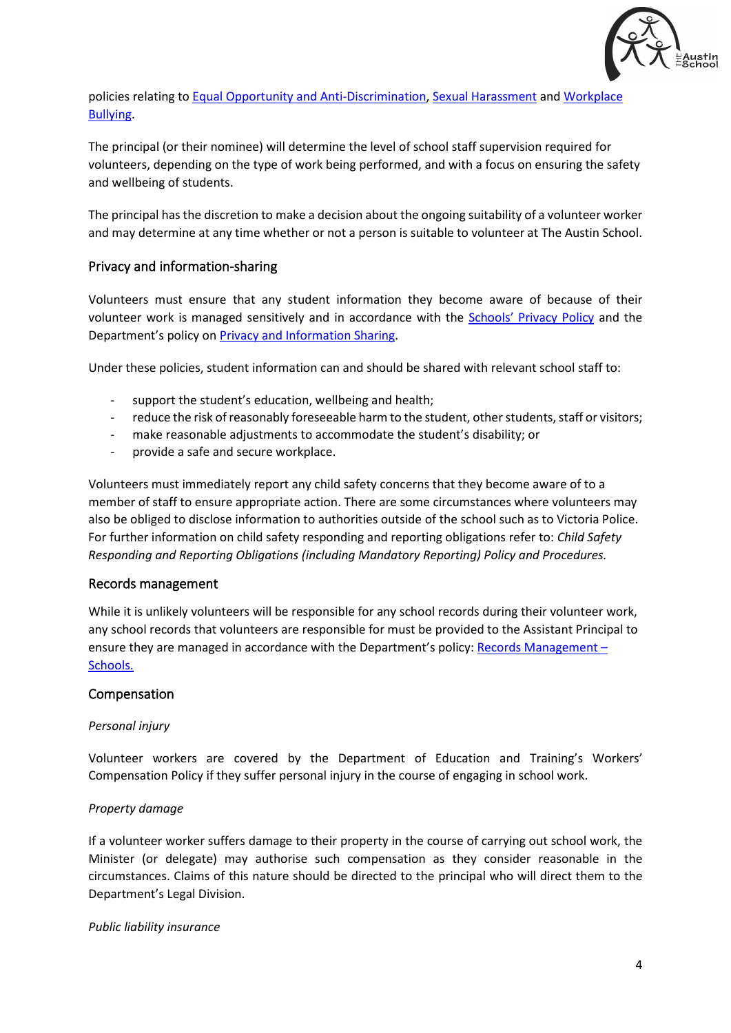

policies relating to [Equal Opportunity and Anti-Discrimination,](https://www2.education.vic.gov.au/pal/equal-opportunity/policy-and-guidelines) [Sexual Harassment](https://www2.education.vic.gov.au/pal/sexual-harassment/overview) and [Workplace](https://www2.education.vic.gov.au/pal/workplace-bullying/policy)  [Bullying.](https://www2.education.vic.gov.au/pal/workplace-bullying/policy)

The principal (or their nominee) will determine the level of school staff supervision required for volunteers, depending on the type of work being performed, and with a focus on ensuring the safety and wellbeing of students.

The principal has the discretion to make a decision about the ongoing suitability of a volunteer worker and may determine at any time whether or not a person is suitable to volunteer at The Austin School.

## Privacy and information-sharing

Volunteers must ensure that any student information they become aware of because of their volunteer work is managed sensitively and in accordance with the Schools' [Privacy Policy](https://www.education.vic.gov.au/Pages/schoolsprivacypolicy.aspx) and the Department's policy on [Privacy and Information Sharing.](https://www2.education.vic.gov.au/pal/privacy-information-sharing/policy)

Under these policies, student information can and should be shared with relevant school staff to:

- support the student's education, wellbeing and health;
- reduce the risk of reasonably foreseeable harm to the student, other students, staff or visitors;
- make reasonable adjustments to accommodate the student's disability; or
- provide a safe and secure workplace.

Volunteers must immediately report any child safety concerns that they become aware of to a member of staff to ensure appropriate action. There are some circumstances where volunteers may also be obliged to disclose information to authorities outside of the school such as to Victoria Police. For further information on child safety responding and reporting obligations refer to: *Child Safety Responding and Reporting Obligations (including Mandatory Reporting) Policy and Procedures.* 

## Records management

While it is unlikely volunteers will be responsible for any school records during their volunteer work, any school records that volunteers are responsible for must be provided to the Assistant Principal to ensure they are managed in accordance with the Department's policy[: Records Management –](https://www2.education.vic.gov.au/pal/records-management/policy) [Schools.](https://www2.education.vic.gov.au/pal/records-management/policy)

#### Compensation

#### *Personal injury*

Volunteer workers are covered by the Department of Education and Training's Workers' Compensation Policy if they suffer personal injury in the course of engaging in school work.

#### *Property damage*

If a volunteer worker suffers damage to their property in the course of carrying out school work, the Minister (or delegate) may authorise such compensation as they consider reasonable in the circumstances. Claims of this nature should be directed to the principal who will direct them to the Department's Legal Division.

*Public liability insurance*